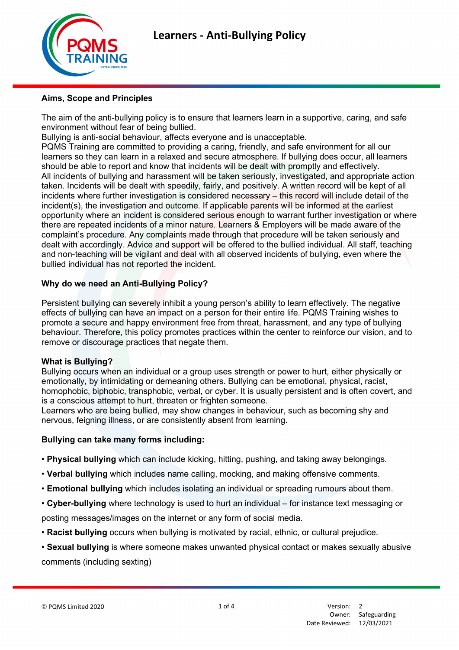

### Aims, Scope and Principles

The aim of the anti-bullying policy is to ensure that learners learn in a supportive, caring, and safe environment without fear of being bullied.

Bullying is anti-social behaviour, affects everyone and is unacceptable.

PQMS Training are committed to providing a caring, friendly, and safe environment for all our learners so they can learn in a relaxed and secure atmosphere. If bullying does occur, all learners should be able to report and know that incidents will be dealt with promptly and effectively. All incidents of bullying and harassment will be taken seriously, investigated, and appropriate action taken. Incidents will be dealt with speedily, fairly, and positively. A written record will be kept of all incidents where further investigation is considered necessary – this record will include detail of the incident(s), the investigation and outcome. If applicable parents will be informed at the earliest opportunity where an incident is considered serious enough to warrant further investigation or where there are repeated incidents of a minor nature. Learners & Employers will be made aware of the complaint's procedure. Any complaints made through that procedure will be taken seriously and dealt with accordingly. Advice and support will be offered to the bullied individual. All staff, teaching and non-teaching will be vigilant and deal with all observed incidents of bullying, even where the bullied individual has not reported the incident.

## Why do we need an Anti-Bullying Policy?

Persistent bullying can severely inhibit a young person's ability to learn effectively. The negative effects of bullying can have an impact on a person for their entire life. PQMS Training wishes to promote a secure and happy environment free from threat, harassment, and any type of bullying behaviour. Therefore, this policy promotes practices within the center to reinforce our vision, and to remove or discourage practices that negate them.

#### What is Bullying?

Bullying occurs when an individual or a group uses strength or power to hurt, either physically or emotionally, by intimidating or demeaning others. Bullying can be emotional, physical, racist, homophobic, biphobic, transphobic, verbal, or cyber. It is usually persistent and is often covert, and is a conscious attempt to hurt, threaten or frighten someone.

Learners who are being bullied, may show changes in behaviour, such as becoming shy and nervous, feigning illness, or are consistently absent from learning.

#### Bullying can take many forms including:

- Physical bullying which can include kicking, hitting, pushing, and taking away belongings.
- Verbal bullying which includes name calling, mocking, and making offensive comments.
- Emotional bullying which includes isolating an individual or spreading rumours about them.
- Cyber-bullying where technology is used to hurt an individual for instance text messaging or

posting messages/images on the internet or any form of social media.

- Racist bullying occurs when bullying is motivated by racial, ethnic, or cultural prejudice.
- Sexual bullying is where someone makes unwanted physical contact or makes sexually abusive comments (including sexting)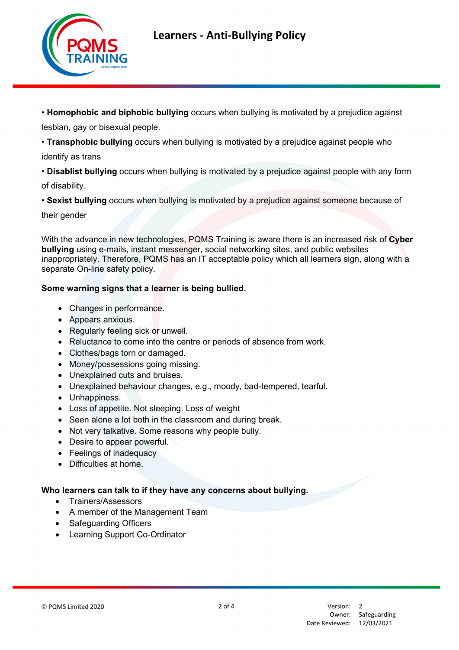

• Homophobic and biphobic bullying occurs when bullying is motivated by a prejudice against lesbian, gay or bisexual people.

• Transphobic bullying occurs when bullying is motivated by a prejudice against people who

identify as trans

• Disablist bullying occurs when bullying is motivated by a prejudice against people with any form of disability.

• Sexist bullying occurs when bullying is motivated by a prejudice against someone because of

their gender

With the advance in new technologies, PQMS Training is aware there is an increased risk of Cyber bullying using e-mails, instant messenger, social networking sites, and public websites inappropriately. Therefore, PQMS has an IT acceptable policy which all learners sign, along with a separate On-line safety policy.

# Some warning signs that a learner is being bullied.

- Changes in performance.
- Appears anxious.
- Regularly feeling sick or unwell.
- Reluctance to come into the centre or periods of absence from work.
- Clothes/bags torn or damaged.
- Money/possessions going missing.
- Unexplained cuts and bruises.
- Unexplained behaviour changes, e.g., moody, bad-tempered, tearful.
- Unhappiness.
- Loss of appetite. Not sleeping. Loss of weight
- Seen alone a lot both in the classroom and during break.
- Not very talkative. Some reasons why people bully.
- Desire to appear powerful.
- Feelings of inadequacy
- Difficulties at home.

## Who learners can talk to if they have any concerns about bullying.

- Trainers/Assessors
- A member of the Management Team
- Safeguarding Officers
- Learning Support Co-Ordinator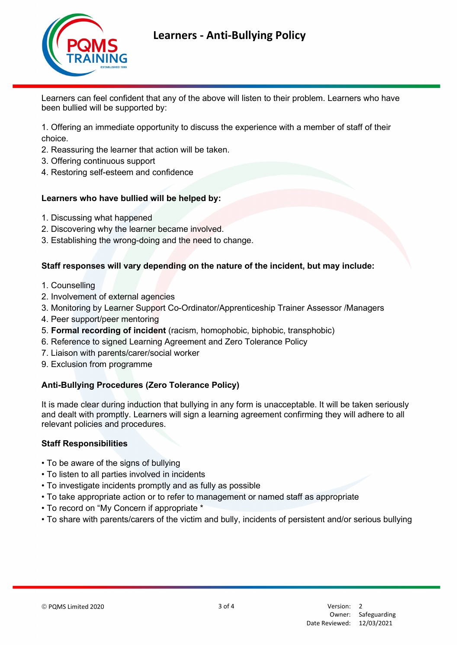

Learners can feel confident that any of the above will listen to their problem. Learners who have been bullied will be supported by:

1. Offering an immediate opportunity to discuss the experience with a member of staff of their choice.

- 2. Reassuring the learner that action will be taken.
- 3. Offering continuous support
- 4. Restoring self-esteem and confidence

### Learners who have bullied will be helped by:

- 1. Discussing what happened
- 2. Discovering why the learner became involved.
- 3. Establishing the wrong-doing and the need to change.

## Staff responses will vary depending on the nature of the incident, but may include:

- 1. Counselling
- 2. Involvement of external agencies
- 3. Monitoring by Learner Support Co-Ordinator/Apprenticeship Trainer Assessor /Managers
- 4. Peer support/peer mentoring
- 5. Formal recording of incident (racism, homophobic, biphobic, transphobic)
- 6. Reference to signed Learning Agreement and Zero Tolerance Policy
- 7. Liaison with parents/carer/social worker
- 9. Exclusion from programme

## Anti-Bullying Procedures (Zero Tolerance Policy)

It is made clear during induction that bullying in any form is unacceptable. It will be taken seriously and dealt with promptly. Learners will sign a learning agreement confirming they will adhere to all relevant policies and procedures.

#### Staff Responsibilities

- To be aware of the signs of bullying
- To listen to all parties involved in incidents
- To investigate incidents promptly and as fully as possible
- To take appropriate action or to refer to management or named staff as appropriate
- To record on "My Concern if appropriate \*
- To share with parents/carers of the victim and bully, incidents of persistent and/or serious bullying